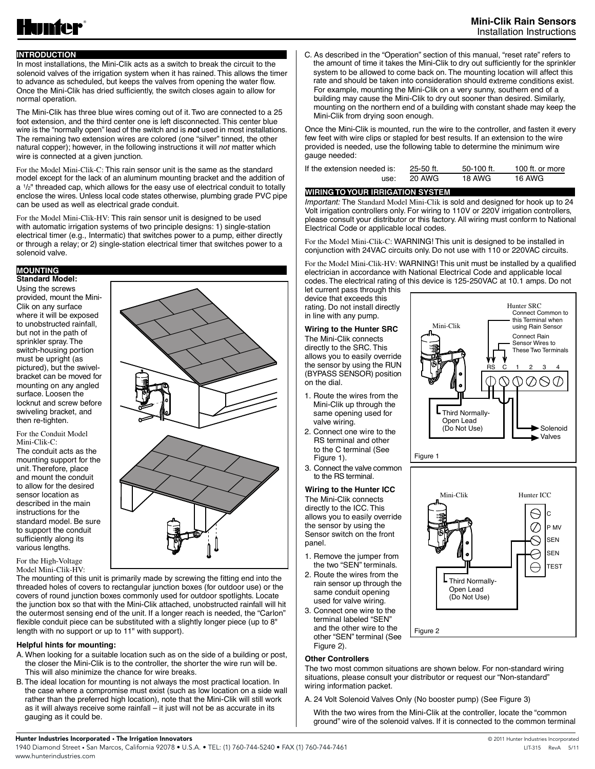## **INTRODUCTION**

In most installations, the Mini-Clik acts as a switch to break the circuit to the solenoid valves of the irrigation system when it has rained. This allows the timer to advance as scheduled, but keeps the valves from opening the water flow. Once the Mini-Clik has dried sufficiently, the switch closes again to allow for normal operation.

The Mini-Clik has three blue wires coming out of it.Two are connected to a 25 foot extension, and the third center one is left disconnected. This center blue wire is the "normally open" lead of the switch and is *not* used in most installations. The remaining two extension wires are colored (one "silver" tinned, the other natural copper); however, in the following instructions it will *not* matter which wire is connected at a given junction.

For the Model Mini-Clik-C: This rain sensor unit is the same as the standard model except for the lack of an aluminum mounting bracket and the addition of a  $1/2$ " threaded cap, which allows for the easy use of electrical conduit to totally enclose the wires. Unless local code states otherwise, plumbing grade PVC pipe can be used as well as electrical grade conduit.

For the Model Mini-Clik-HV: This rain sensor unit is designed to be used with automatic irrigation systems of two principle designs: 1) single-station electrical timer (e.g., Intermatic) that switches power to a pump, either directly or through a relay; or 2) single-station electrical timer that switches power to a solenoid valve.

#### **MOUNTING Standard Model:**

Using the screws provided, mount the Mini-Clik on any surface where it will be exposed to unobstructed rainfall, but not in the path of sprinkler spray. The switch-housing portion must be upright (as pictured), but the swivelbracket can be moved for mounting on any angled surface. Loosen the locknut and screw before swiveling bracket, and then re-tighten.

#### For the Conduit Model Mini-Clik-C:

The conduit acts as the mounting support for the unit.Therefore, place and mount the conduit to allow for the desired sensor location as described in the main instructions for the standard model. Be sure to support the conduit sufficiently along its various lengths.

For the High-Voltage Model Mini-Clik-HV:

The mounting of this unit is primarily made by screwing the fitting end into the threaded holes of covers to rectangular junction boxes (for outdoor use) or the covers of round junction boxes commonly used for outdoor spotlights. Locate the junction box so that with the Mini-Clik attached, unobstructed rainfall will hit the outermost sensing end of the unit. If a longer reach is needed, the "Carlon" flexible conduit piece can be substituted with a slightly longer piece (up to 8" length with no support or up to 11" with support).

# **Helpful hints for mounting:**

- A. When looking for a suitable location such as on the side of a building or post, the closer the Mini-Clik is to the controller, the shorter the wire run will be. This will also minimize the chance for wire breaks.
- B. The ideal location for mounting is not always the most practical location. In the case where a compromise must exist (such as low location on a side wall rather than the preferred high location), note that the Mini-Clik will still work as it will always receive some rainfall – it just will not be as accurate in its gauging as it could be.



C. As described in the "Operation" section of this manual, "reset rate" refers to the amount of time it takes the Mini-Clik to dry out sufficiently for the sprinkler system to be allowed to come back on. The mounting location will affect this rate and should be taken into consideration should extreme conditions exist. For example, mounting the Mini-Clik on a very sunny, southern end of a building may cause the Mini-Clik to dry out sooner than desired. Similarly, mounting on the northern end of a building with constant shade may keep the Mini-Clik from drying soon enough.

Once the Mini-Clik is mounted, run the wire to the controller, and fasten it every few feet with wire clips or stapled for best results. If an extension to the wire provided is needed, use the following table to determine the minimum wire gauge needed:

| If the extension needed is: | $25-50$ ft. | $50-100$ ft. | 100 ft. or more |
|-----------------------------|-------------|--------------|-----------------|
| use:                        | 20 AWG      | 18 AWG       | 16 AWG          |

# **WIRING TO YOUR IRRIGATION SYSTEM**

*Important:* The Standard Model Mini-Clik is sold and designed for hook up to 24 Volt irrigation controllers only. For wiring to 110V or 220V irrigation controllers, please consult your distributor or this factory. All wiring must conform to National Electrical Code or applicable local codes.

For the Model Mini-Clik-C: WARNING! This unit is designed to be installed in conjunction with 24VAC circuits only. Do not use with 110 or 220VAC circuits.

For the Model Mini-Clik-HV: WARNING! This unit must be installed by a qualified electrician in accordance with National Electrical Code and applicable local codes. The electrical rating of this device is 125-250VAC at 10.1 amps. Do not

Mini-Clik

Third Normally-Open Lead (Do Not Use)

Figure 1

let current pass through this device that exceeds this rating. Do not install directly in line with any pump.

#### **Wiring to the Hunter SRC** The Mini-Clik connects directly to the SRC. This allows you to easily override the sensor by using the RUN (BYPASS SENSOR) position on the dial.

- 1. Route the wires from the Mini-Clik up through the same opening used for valve wiring.
- 2. Connect one wire to the RS terminal and other to the C terminal (See Figure 1).
- 3. Connect the valve common to the RS terminal.

# **Wiring to the Hunter ICC**

The Mini-Clik connects directly to the ICC. This allows you to easily override the sensor by using the Sensor switch on the front panel.

- 1. Remove the jumper from the two "SEN" terminals.
- 2. Route the wires from the rain sensor up through the same conduit opening used for valve wiring.
- 3. Connect one wire to the terminal labeled "SEN" and the other wire to the other "SEN" terminal (See Figure 2).

# **Other Controllers**

The two most common situations are shown below. For non-standard wiring situations, please consult your distributor or request our "Non-standard" wiring information packet.

Figure 2

A. 24 Volt Solenoid Valves Only (No booster pump) (See Figure 3)

With the two wires from the Mini-Clik at the controller, locate the "common ground" wire of the solenoid valves. If it is connected to the common terminal

# **Hunter Industries Incorporated • The Irrigation Innovators** © 2011 Hunter Industries Incorporated • The Irrigation Innovators **December 2012** and the Uniter **Industries Incorporated • The Irrigation Innovators**

1940 Diamond Street • San Marcos, California 92078 • U.S.A. • TEL: (1) 760-744-5240 • FAX (1) 760-744-7461 LIT-315 RevA 5/11 www.hunterindustries.com

1 2 3 4

MA

Solenoid Valves

 $\sigma$ 

SEN **SEN** 

P MV

TEST

C

A Ø

 $\ominus$ 

Connect Common to this Terminal when using Rain Sensor Connect Rain Sensor Wires to These Two Terminals

Hunter SRC

C

RS

Mini-Clik Hunter ICC

Third Normally-Open Lead (Do Not Use)